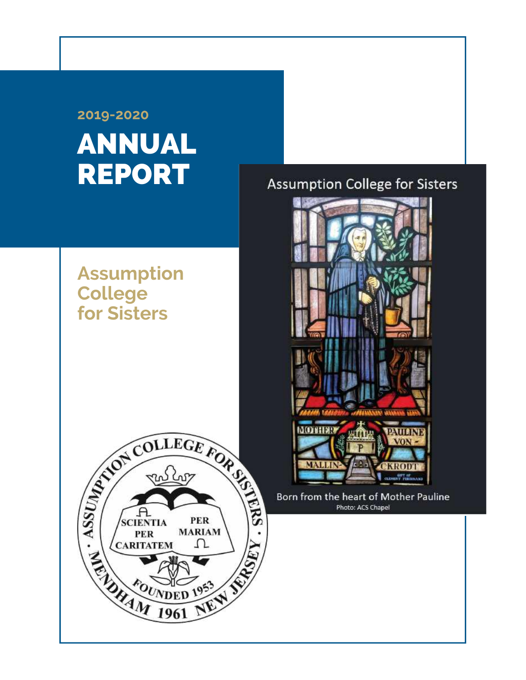# ANNUAL REPORT **2019-2020**

## **Assumption College for Sisters**



### **Assumption College for Sisters**



Born from the heart of Mother Pauline Photo: ACS Chapel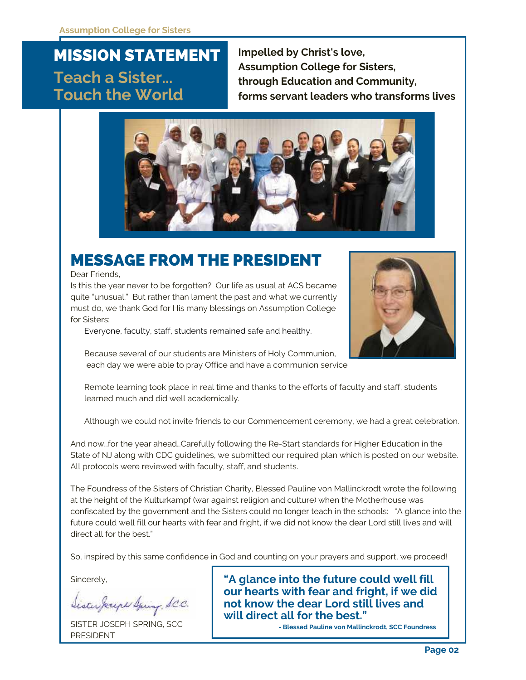### MISSION STATEMENT **Teach a Sister... Touch the World**

**Impelled by Christ's love, Assumption College for Sisters, through Education and Community, forms servant leaders who transforms lives**



### MESSAGE FROM THE PRESIDENT

Dear Friends,

Is this the year never to be forgotten? Our life as usual at ACS became quite "unusual." But rather than lament the past and what we currently must do, we thank God for His many blessings on Assumption College for Sisters:

Everyone, faculty, staff, students remained safe and healthy.



Because several of our students are Ministers of Holy Communion, each day we were able to pray Office and have a communion service

Remote learning took place in real time and thanks to the efforts of faculty and staff, students learned much and did well academically.

Although we could not invite friends to our Commencement ceremony, we had a great celebration.

And now…for the year ahead…Carefully following the Re-Start standards for Higher Education in the State of NJ along with CDC guidelines, we submitted our required plan which is posted on our website. All protocols were reviewed with faculty, staff, and students.

The Foundress of the Sisters of Christian Charity, Blessed Pauline von Mallinckrodt wrote the following at the height of the Kulturkampf (war against religion and culture) when the Motherhouse was confiscated by the government and the Sisters could no longer teach in the schools: "A glance into the future could well fill our hearts with fear and fright, if we did not know the dear Lord still lives and will direct all for the best."

So, inspired by this same confidence in God and counting on your prayers and support, we proceed!

Sincerely,

Sister Joseph Spring, S.C.C.

SISTER JOSEPH SPRING, SCC PRESIDENT

**"A glance into the future could well fill our hearts with fear and fright, if we did not know the dear Lord still lives and will direct all for the best."**

**- Blessed Pauline von Mallinckrodt, SCC Foundress**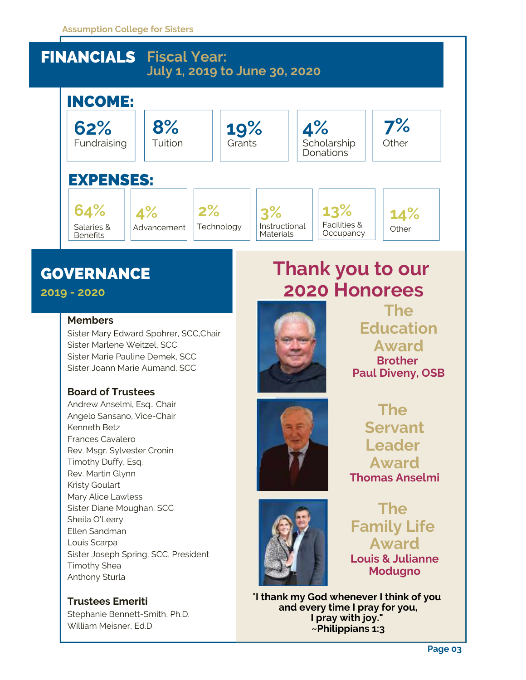#### **Assumption College for Sisters**

### FINANCIALS **Fiscal Year: July 1, 2019 to June 30, 2020**



### **GOVERNANCE**

**2019 - 2020**

#### **Members**

Sister Mary Edward Spohrer, SCC,Chair Sister Marlene Weitzel, SCC Sister Marie Pauline Demek, SCC Sister Joann Marie Aumand, SCC

#### **Board of Trustees**

Andrew Anselmi, Esq., Chair Angelo Sansano, Vice-Chair Kenneth Betz Frances Cavalero Rev. Msgr. Sylvester Cronin Timothy Duffy, Esq. Rev. Martin Glynn Kristy Goulart Mary Alice Lawless Sister Diane Moughan, SCC Sheila O'Leary Ellen Sandman Louis Scarpa Sister Joseph Spring, SCC, President Timothy Shea Anthony Sturla

**Trustees Emeriti** Stephanie Bennett-Smith, Ph.D. William Meisner, Ed.D.

# **Thank you to our 2020 Honorees**



**The Education Award Brother Paul Diveny, OSB**

**The Servant Leader Award Thomas Anselmi**

**The Family Life Award Louis & Julianne Modugno**

"**I thank my God whenever I think of you and every time I pray for you, I pray with joy." ~Philippians 1:3**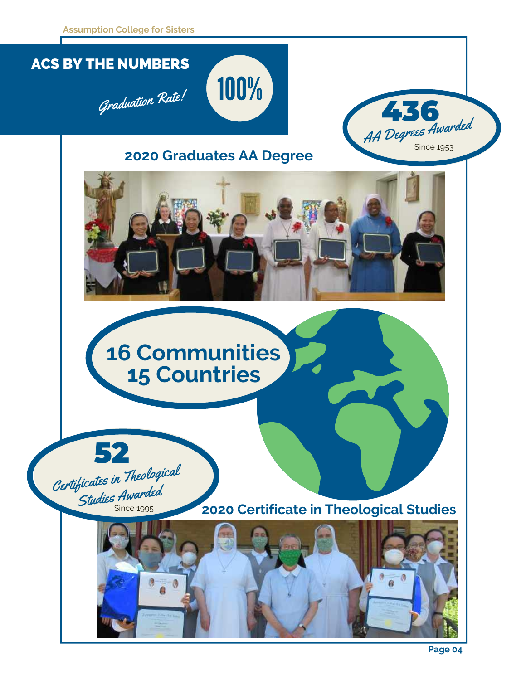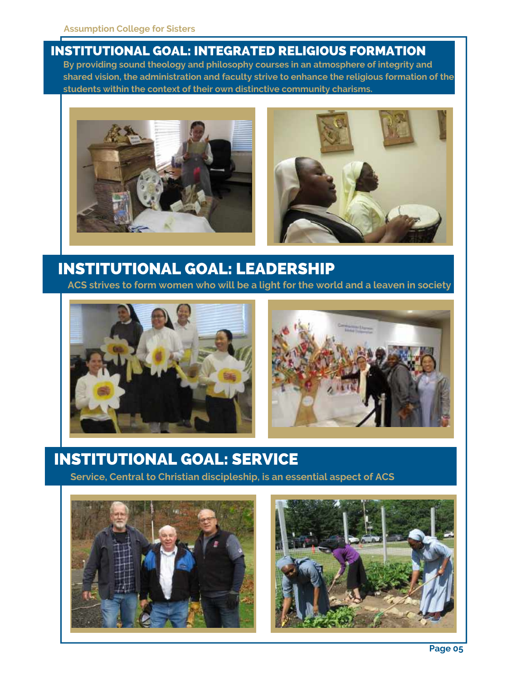#### INSTITUTIONAL GOAL: INTEGRATED RELIGIOUS FORMATION

**By providing sound theology and philosophy courses in an atmosphere of integrity and shared vision, the administration and faculty strive to enhance the religious formation of the students within the context of their own distinctive community charisms.**



### INSTITUTIONAL GOAL: LEADERSHIP

**ACS strives to form women who will be a light for the world and a leaven in society**





### INSTITUTIONAL GOAL: SERVICE

**Service, Central to Christian discipleship, is an essential aspect of ACS**